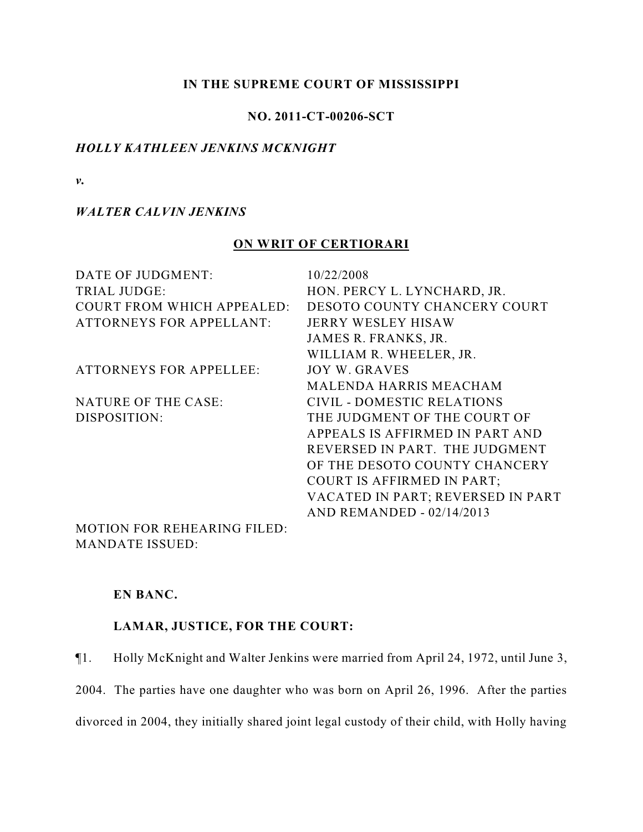## **IN THE SUPREME COURT OF MISSISSIPPI**

## **NO. 2011-CT-00206-SCT**

### *HOLLY KATHLEEN JENKINS MCKNIGHT*

*v.*

### *WALTER CALVIN JENKINS*

## **ON WRIT OF CERTIORARI**

| DATE OF JUDGMENT:                 | 10/22/2008                        |
|-----------------------------------|-----------------------------------|
| <b>TRIAL JUDGE:</b>               | HON. PERCY L. LYNCHARD, JR.       |
| <b>COURT FROM WHICH APPEALED:</b> | DESOTO COUNTY CHANCERY COURT      |
| <b>ATTORNEYS FOR APPELLANT:</b>   | <b>JERRY WESLEY HISAW</b>         |
|                                   | JAMES R. FRANKS, JR.              |
|                                   | WILLIAM R. WHEELER, JR.           |
| <b>ATTORNEYS FOR APPELLEE:</b>    | <b>JOY W. GRAVES</b>              |
|                                   | <b>MALENDA HARRIS MEACHAM</b>     |
| <b>NATURE OF THE CASE:</b>        | <b>CIVIL - DOMESTIC RELATIONS</b> |
| DISPOSITION:                      | THE JUDGMENT OF THE COURT OF      |
|                                   | APPEALS IS AFFIRMED IN PART AND   |
|                                   | REVERSED IN PART. THE JUDGMENT    |
|                                   | OF THE DESOTO COUNTY CHANCERY     |
|                                   | <b>COURT IS AFFIRMED IN PART;</b> |
|                                   | VACATED IN PART; REVERSED IN PART |
|                                   | <b>AND REMANDED - 02/14/2013</b>  |
| MOTION EOD DEHE A DIMC EH ED      |                                   |

MOTION FOR REHEARING FILED: MANDATE ISSUED:

## **EN BANC.**

# **LAMAR, JUSTICE, FOR THE COURT:**

¶1. Holly McKnight and Walter Jenkins were married from April 24, 1972, until June 3,

2004. The parties have one daughter who was born on April 26, 1996. After the parties divorced in 2004, they initially shared joint legal custody of their child, with Holly having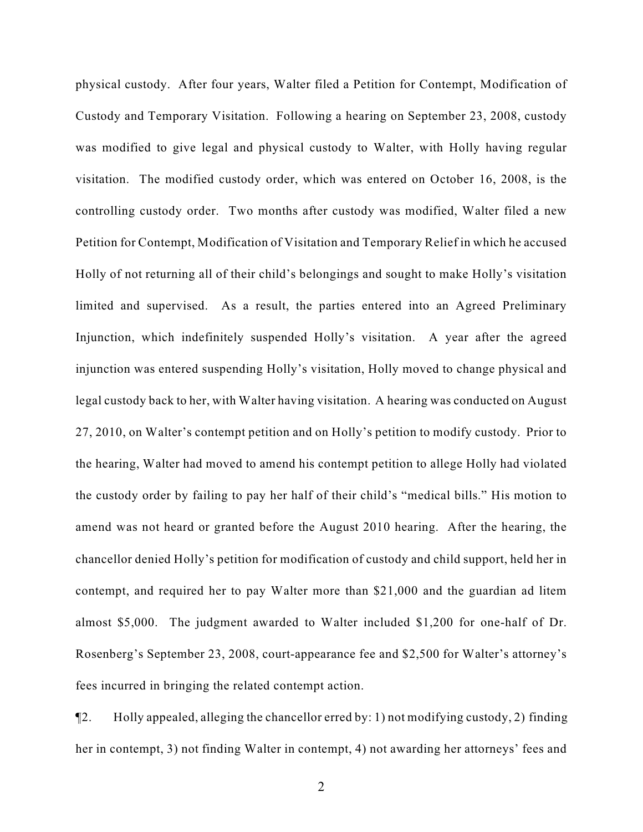physical custody. After four years, Walter filed a Petition for Contempt, Modification of Custody and Temporary Visitation. Following a hearing on September 23, 2008, custody was modified to give legal and physical custody to Walter, with Holly having regular visitation. The modified custody order, which was entered on October 16, 2008, is the controlling custody order. Two months after custody was modified, Walter filed a new Petition for Contempt, Modification of Visitation and Temporary Relief in which he accused Holly of not returning all of their child's belongings and sought to make Holly's visitation limited and supervised. As a result, the parties entered into an Agreed Preliminary Injunction, which indefinitely suspended Holly's visitation. A year after the agreed injunction was entered suspending Holly's visitation, Holly moved to change physical and legal custody back to her, with Walter having visitation. A hearing was conducted on August 27, 2010, on Walter's contempt petition and on Holly's petition to modify custody. Prior to the hearing, Walter had moved to amend his contempt petition to allege Holly had violated the custody order by failing to pay her half of their child's "medical bills." His motion to amend was not heard or granted before the August 2010 hearing. After the hearing, the chancellor denied Holly's petition for modification of custody and child support, held her in contempt, and required her to pay Walter more than \$21,000 and the guardian ad litem almost \$5,000. The judgment awarded to Walter included \$1,200 for one-half of Dr. Rosenberg's September 23, 2008, court-appearance fee and \$2,500 for Walter's attorney's fees incurred in bringing the related contempt action.

¶2. Holly appealed, alleging the chancellor erred by: 1) not modifying custody, 2) finding her in contempt, 3) not finding Walter in contempt, 4) not awarding her attorneys' fees and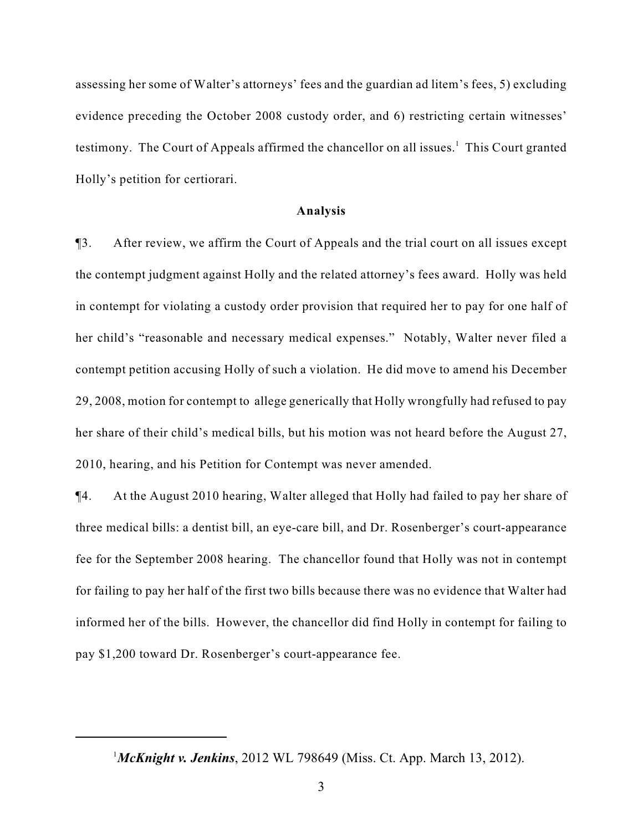assessing her some of Walter's attorneys' fees and the guardian ad litem's fees, 5) excluding evidence preceding the October 2008 custody order, and 6) restricting certain witnesses' testimony. The Court of Appeals affirmed the chancellor on all issues.<sup>1</sup> This Court granted Holly's petition for certiorari.

#### **Analysis**

¶3. After review, we affirm the Court of Appeals and the trial court on all issues except the contempt judgment against Holly and the related attorney's fees award. Holly was held in contempt for violating a custody order provision that required her to pay for one half of her child's "reasonable and necessary medical expenses." Notably, Walter never filed a contempt petition accusing Holly of such a violation. He did move to amend his December 29, 2008, motion for contempt to allege generically that Holly wrongfully had refused to pay her share of their child's medical bills, but his motion was not heard before the August 27, 2010, hearing, and his Petition for Contempt was never amended.

¶4. At the August 2010 hearing, Walter alleged that Holly had failed to pay her share of three medical bills: a dentist bill, an eye-care bill, and Dr. Rosenberger's court-appearance fee for the September 2008 hearing. The chancellor found that Holly was not in contempt for failing to pay her half of the first two bills because there was no evidence that Walter had informed her of the bills. However, the chancellor did find Holly in contempt for failing to pay \$1,200 toward Dr. Rosenberger's court-appearance fee.

<sup>&</sup>lt;sup>1</sup>McKnight v. Jenkins, 2012 WL 798649 (Miss. Ct. App. March 13, 2012).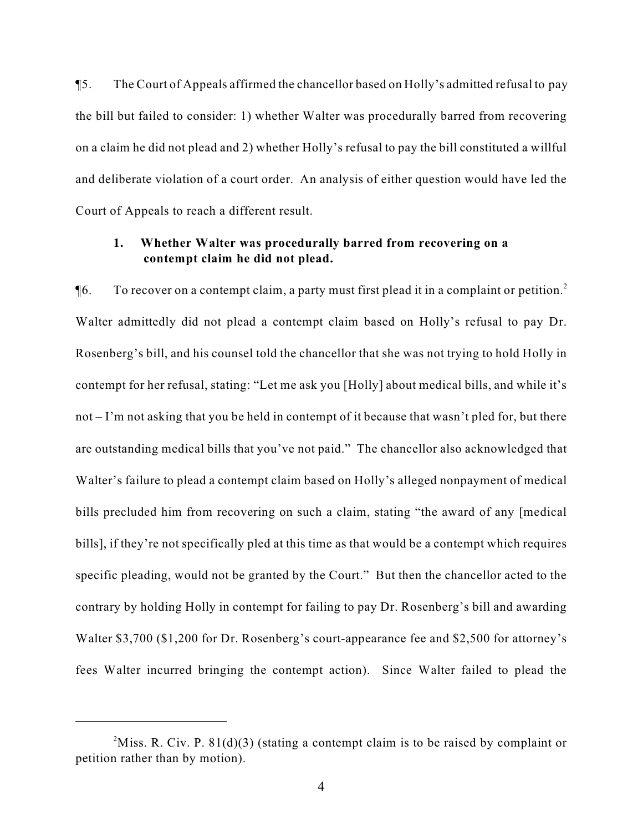¶5. The Court of Appeals affirmed the chancellor based on Holly's admitted refusal to pay the bill but failed to consider: 1) whether Walter was procedurally barred from recovering on a claim he did not plead and 2) whether Holly's refusal to pay the bill constituted a willful and deliberate violation of a court order. An analysis of either question would have led the Court of Appeals to reach a different result.

# **1. Whether Walter was procedurally barred from recovering on a contempt claim he did not plead.**

 $\P6.$  To recover on a contempt claim, a party must first plead it in a complaint or petition.<sup>2</sup> Walter admittedly did not plead a contempt claim based on Holly's refusal to pay Dr. Rosenberg's bill, and his counsel told the chancellor that she was not trying to hold Holly in contempt for her refusal, stating: "Let me ask you [Holly] about medical bills, and while it's not – I'm not asking that you be held in contempt of it because that wasn't pled for, but there are outstanding medical bills that you've not paid." The chancellor also acknowledged that Walter's failure to plead a contempt claim based on Holly's alleged nonpayment of medical bills precluded him from recovering on such a claim, stating "the award of any [medical bills], if they're not specifically pled at this time as that would be a contempt which requires specific pleading, would not be granted by the Court." But then the chancellor acted to the contrary by holding Holly in contempt for failing to pay Dr. Rosenberg's bill and awarding Walter \$3,700 (\$1,200 for Dr. Rosenberg's court-appearance fee and \$2,500 for attorney's fees Walter incurred bringing the contempt action). Since Walter failed to plead the

<sup>&</sup>lt;sup>2</sup>Miss. R. Civ. P. 81(d)(3) (stating a contempt claim is to be raised by complaint or petition rather than by motion).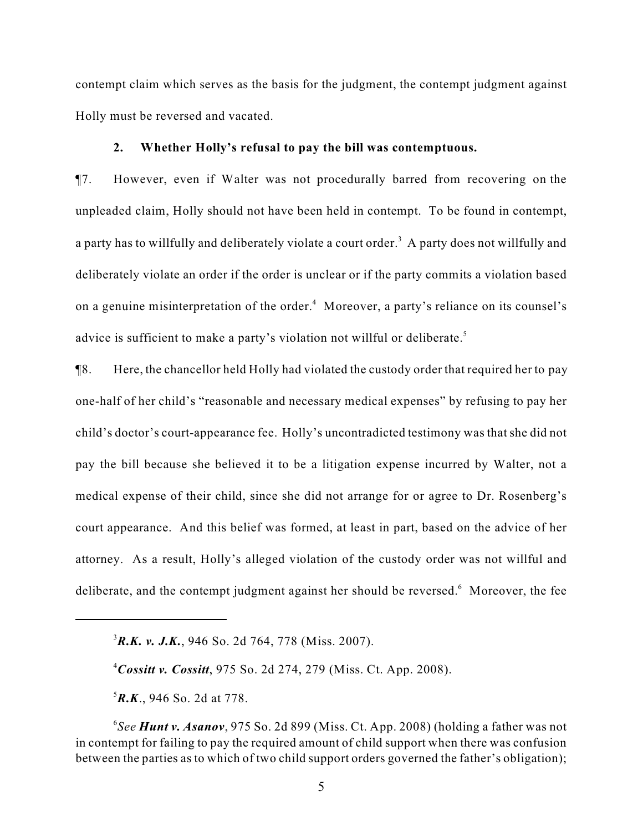contempt claim which serves as the basis for the judgment, the contempt judgment against Holly must be reversed and vacated.

#### **2. Whether Holly's refusal to pay the bill was contemptuous.**

¶7. However, even if Walter was not procedurally barred from recovering on the unpleaded claim, Holly should not have been held in contempt. To be found in contempt, a party has to willfully and deliberately violate a court order.<sup>3</sup> A party does not willfully and deliberately violate an order if the order is unclear or if the party commits a violation based on a genuine misinterpretation of the order.<sup>4</sup> Moreover, a party's reliance on its counsel's advice is sufficient to make a party's violation not willful or deliberate.<sup>5</sup>

¶8. Here, the chancellor held Holly had violated the custody order that required her to pay one-half of her child's "reasonable and necessary medical expenses" by refusing to pay her child's doctor's court-appearance fee. Holly's uncontradicted testimony was that she did not pay the bill because she believed it to be a litigation expense incurred by Walter, not a medical expense of their child, since she did not arrange for or agree to Dr. Rosenberg's court appearance. And this belief was formed, at least in part, based on the advice of her attorney. As a result, Holly's alleged violation of the custody order was not willful and deliberate, and the contempt judgment against her should be reversed.<sup>6</sup> Moreover, the fee

 ${}^{5}R$ *.K*., 946 So. 2d at 778.

 ${}^{3}R.K.$  v. J.K., 946 So. 2d 764, 778 (Miss. 2007).

 $^{4}$ *Cossitt v. Cossitt*, 975 So. 2d 274, 279 (Miss. Ct. App. 2008).

*See Hunt v. Asanov*, 975 So. 2d 899 (Miss. Ct. App. 2008) (holding a father was not <sup>6</sup> in contempt for failing to pay the required amount of child support when there was confusion between the parties as to which of two child support orders governed the father's obligation);